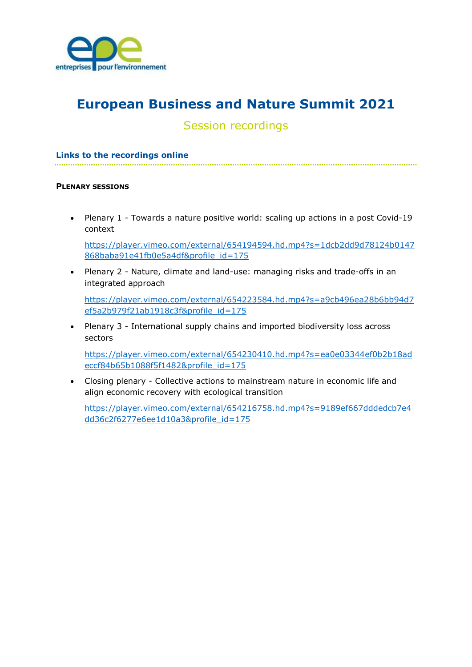

# European Business and Nature Summit 2021

# Session recordings

# Links to the recordings online

#### PLENARY SESSIONS

 Plenary 1 - Towards a nature positive world: scaling up actions in a post Covid-19 context

https://player.vimeo.com/external/654194594.hd.mp4?s=1dcb2dd9d78124b0147 868baba91e41fb0e5a4df&profile id=175

 Plenary 2 - Nature, climate and land-use: managing risks and trade-offs in an integrated approach

https://player.vimeo.com/external/654223584.hd.mp4?s=a9cb496ea28b6bb94d7 ef5a2b979f21ab1918c3f&profile\_id=175

 Plenary 3 - International supply chains and imported biodiversity loss across sectors

https://player.vimeo.com/external/654230410.hd.mp4?s=ea0e03344ef0b2b18ad eccf84b65b1088f5f1482&profile\_id=175

 Closing plenary - Collective actions to mainstream nature in economic life and align economic recovery with ecological transition

https://player.vimeo.com/external/654216758.hd.mp4?s=9189ef667dddedcb7e4 dd36c2f6277e6ee1d10a3&profile\_id=175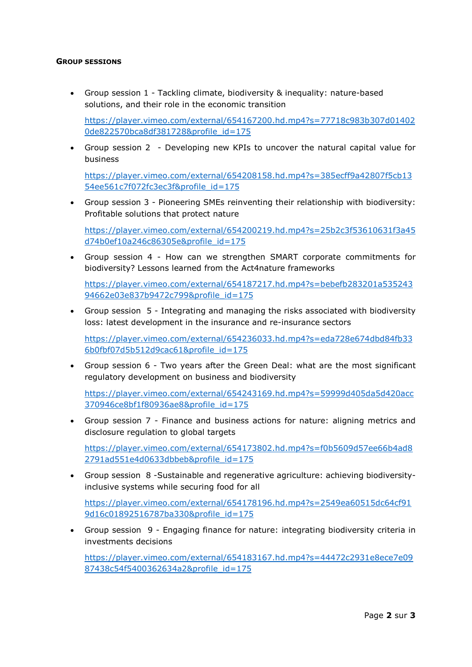# GROUP SESSIONS

 Group session 1 - Tackling climate, biodiversity & inequality: nature-based solutions, and their role in the economic transition

https://player.vimeo.com/external/654167200.hd.mp4?s=77718c983b307d01402 0de822570bca8df381728&profile\_id=175

 Group session 2 - Developing new KPIs to uncover the natural capital value for business

https://player.vimeo.com/external/654208158.hd.mp4?s=385ecff9a42807f5cb13 54ee561c7f072fc3ec3f&profile\_id=175

 Group session 3 - Pioneering SMEs reinventing their relationship with biodiversity: Profitable solutions that protect nature

https://player.vimeo.com/external/654200219.hd.mp4?s=25b2c3f53610631f3a45 d74b0ef10a246c86305e&profile\_id=175

 Group session 4 - How can we strengthen SMART corporate commitments for biodiversity? Lessons learned from the Act4nature frameworks

https://player.vimeo.com/external/654187217.hd.mp4?s=bebefb283201a535243 94662e03e837b9472c799&profile\_id=175

 Group session 5 - Integrating and managing the risks associated with biodiversity loss: latest development in the insurance and re-insurance sectors

https://player.vimeo.com/external/654236033.hd.mp4?s=eda728e674dbd84fb33 6b0fbf07d5b512d9cac61&profile\_id=175

 Group session 6 - Two years after the Green Deal: what are the most significant regulatory development on business and biodiversity

https://player.vimeo.com/external/654243169.hd.mp4?s=59999d405da5d420acc 370946ce8bf1f80936ae8&profile\_id=175

 Group session 7 - Finance and business actions for nature: aligning metrics and disclosure regulation to global targets

https://player.vimeo.com/external/654173802.hd.mp4?s=f0b5609d57ee66b4ad8 2791ad551e4d0633dbbeb&profile\_id=175

 Group session 8 -Sustainable and regenerative agriculture: achieving biodiversityinclusive systems while securing food for all

https://player.vimeo.com/external/654178196.hd.mp4?s=2549ea60515dc64cf91 9d16c01892516787ba330&profile\_id=175

 Group session 9 - Engaging finance for nature: integrating biodiversity criteria in investments decisions

https://player.vimeo.com/external/654183167.hd.mp4?s=44472c2931e8ece7e09 87438c54f5400362634a2&profile\_id=175